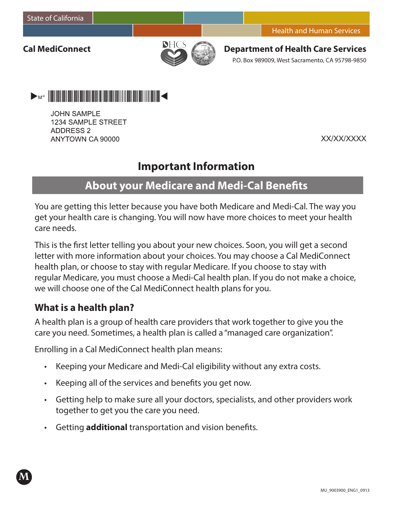**Cal MediConnect**



**Department of Health Care Services** P.O. Box 989009, West Sacramento, CA 95798-9850



**JOHN SAMPLE** 1234 SAMPLE STREET **ADDRESS 2** ANYTOWN CA 90000

XX/XX/XXXX

# **Important Information**

# **About your Medicare and Medi-Cal Benefits**

You are getting this letter because you have both Medicare and Medi-Cal. The way you get your health care is changing. You will now have more choices to meet your health care needs.

This is the first letter telling you about your new choices. Soon, you will get a second letter with more information about your choices. You may choose a Cal MediConnect health plan, or choose to stay with regular Medicare. If you choose to stay with regular Medicare, you must choose a Medi-Cal health plan. If you do not make a choice, we will choose one of the Cal MediConnect health plans for you.

## **What is a health plan?**

**M**

A health plan is a group of health care providers that work together to give you the care you need. Sometimes, a health plan is called a "managed care organization".

Enrolling in a Cal MediConnect health plan means:

- Keeping your Medicare and Medi-Cal eligibility without any extra costs.
- Keeping all of the services and benefits you get now.
- • Getting help to make sure all your doctors, specialists, and other providers work together to get you the care you need.
- • Getting **additional** transportation and vision benefits.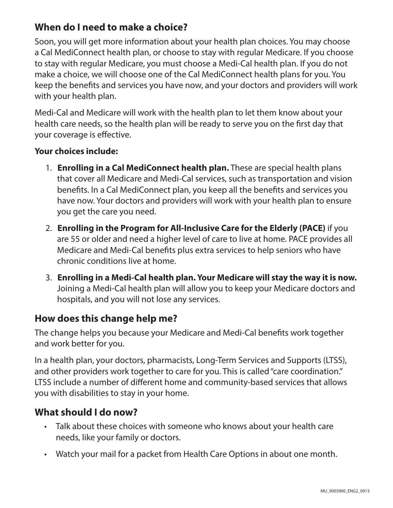## **When do I need to make a choice?**

Soon, you will get more information about your health plan choices. You may choose a Cal MediConnect health plan, or choose to stay with regular Medicare. If you choose to stay with regular Medicare, you must choose a Medi-Cal health plan. If you do not make a choice, we will choose one of the Cal MediConnect health plans for you. You keep the benefits and services you have now, and your doctors and providers will work with your health plan.

Medi-Cal and Medicare will work with the health plan to let them know about your health care needs, so the health plan will be ready to serve you on the first day that your coverage is effective.

#### **Your choices include:**

- 1. **Enrolling in a Cal MediConnect health plan.** These are special health plans that cover all Medicare and Medi-Cal services, such as transportation and vision benefits. In a Cal MediConnect plan, you keep all the benefits and services you have now. Your doctors and providers will work with your health plan to ensure you get the care you need.
- 2. **Enrolling in the Program for All-Inclusive Care for the Elderly (PACE)** if you are 55 or older and need a higher level of care to live at home. PACE provides all Medicare and Medi-Cal benefits plus extra services to help seniors who have chronic conditions live at home.
- 3. **Enrolling in a Medi-Cal health plan. Your Medicare will stay the way it is now.** Joining a Medi-Cal health plan will allow you to keep your Medicare doctors and hospitals, and you will not lose any services.

## **How does this change help me?**

The change helps you because your Medicare and Medi-Cal benefits work together and work better for you.

In a health plan, your doctors, pharmacists, Long-Term Services and Supports (LTSS), and other providers work together to care for you. This is called "care coordination." LTSS include a number of different home and community-based services that allows you with disabilities to stay in your home.

## **What should I do now?**

- • Talk about these choices with someone who knows about your health care needs, like your family or doctors.
- Watch your mail for a packet from Health Care Options in about one month.